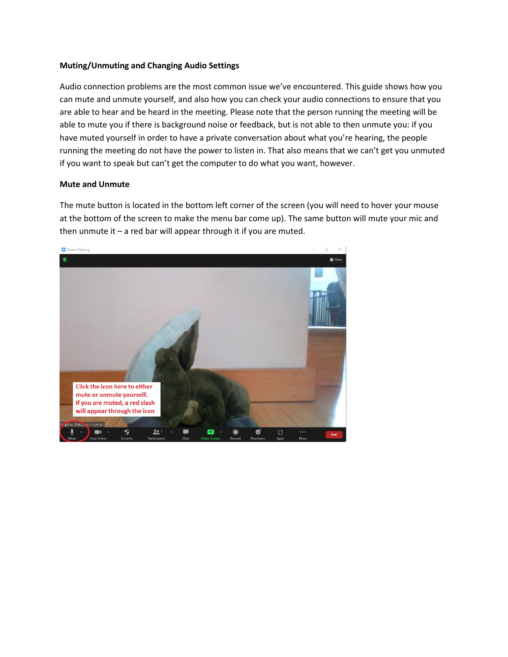## **Muting/Unmuting and Changing Audio Settings**

Audio connection problems are the most common issue we've encountered. This guide shows how you can mute and unmute yourself, and also how you can check your audio connections to ensure that you are able to hear and be heard in the meeting. Please note that the person running the meeting will be able to mute you if there is background noise or feedback, but is not able to then unmute you: if you have muted yourself in order to have a private conversation about what you're hearing, the people running the meeting do not have the power to listen in. That also means that we can't get you unmuted if you want to speak but can't get the computer to do what you want, however.

## **Mute and Unmute**

The mute button is located in the bottom left corner of the screen (you will need to hover your mouse at the bottom of the screen to make the menu bar come up). The same button will mute your mic and then unmute it  $-$  a red bar will appear through it if you are muted.